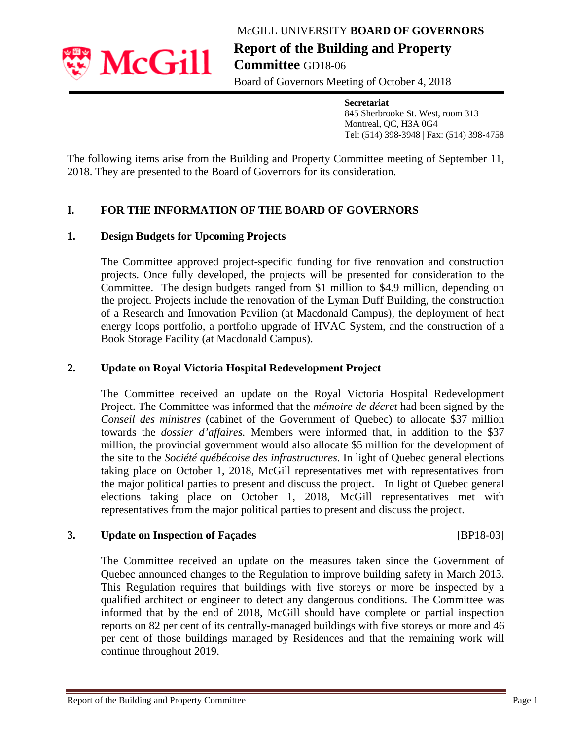### MCGILL UNIVERSITY **BOARD OF GOVERNORS**

**Report of the Building and Property Committee** GD18-06

Board of Governors Meeting of October 4, 2018

**Secretariat**  845 Sherbrooke St. West, room 313 Montreal, QC, H3A 0G4 Tel: (514) 398-3948 | Fax: (514) 398-4758

The following items arise from the Building and Property Committee meeting of September 11, 2018. They are presented to the Board of Governors for its consideration.

# **I. FOR THE INFORMATION OF THE BOARD OF GOVERNORS**

### **1. Design Budgets for Upcoming Projects**

The Committee approved project-specific funding for five renovation and construction projects. Once fully developed, the projects will be presented for consideration to the Committee. The design budgets ranged from \$1 million to \$4.9 million, depending on the project. Projects include the renovation of the Lyman Duff Building, the construction of a Research and Innovation Pavilion (at Macdonald Campus), the deployment of heat energy loops portfolio, a portfolio upgrade of HVAC System, and the construction of a Book Storage Facility (at Macdonald Campus).

#### **2. Update on Royal Victoria Hospital Redevelopment Project**

The Committee received an update on the Royal Victoria Hospital Redevelopment Project. The Committee was informed that the *mémoire de décret* had been signed by the *Conseil des ministres* (cabinet of the Government of Quebec) to allocate \$37 million towards the *dossier d'affaires.* Members were informed that, in addition to the \$37 million, the provincial government would also allocate \$5 million for the development of the site to the *Société québécoise des infrastructures.* In light of Quebec general elections taking place on October 1, 2018, McGill representatives met with representatives from the major political parties to present and discuss the project. In light of Quebec general elections taking place on October 1, 2018, McGill representatives met with representatives from the major political parties to present and discuss the project.

#### **3. Update on Inspection of Façades** [BP18-03]

The Committee received an update on the measures taken since the Government of Quebec announced changes to the Regulation to improve building safety in March 2013. This Regulation requires that buildings with five storeys or more be inspected by a qualified architect or engineer to detect any dangerous conditions. The Committee was informed that by the end of 2018, McGill should have complete or partial inspection reports on 82 per cent of its centrally-managed buildings with five storeys or more and 46 per cent of those buildings managed by Residences and that the remaining work will continue throughout 2019.

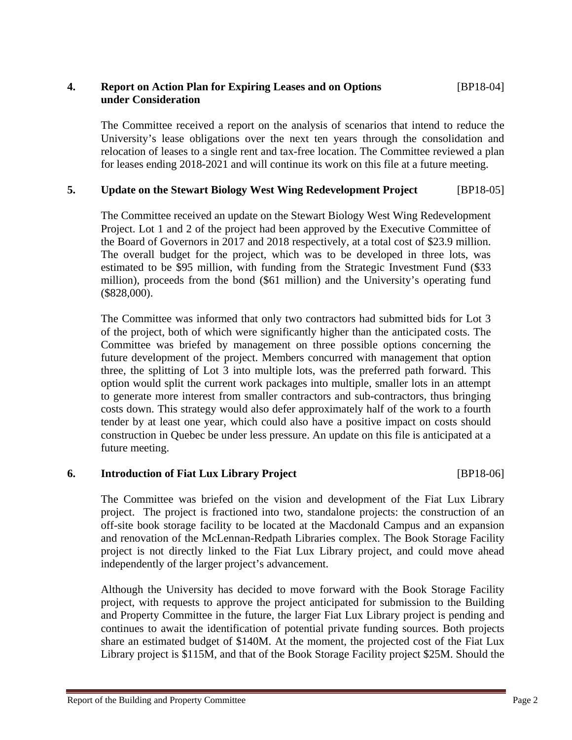#### **4. Report on Action Plan for Expiring Leases and on Options** [BP18-04] **under Consideration**

The Committee received a report on the analysis of scenarios that intend to reduce the University's lease obligations over the next ten years through the consolidation and relocation of leases to a single rent and tax-free location. The Committee reviewed a plan for leases ending 2018-2021 and will continue its work on this file at a future meeting.

## **5. Update on the Stewart Biology West Wing Redevelopment Project** [BP18-05]

The Committee received an update on the Stewart Biology West Wing Redevelopment Project. Lot 1 and 2 of the project had been approved by the Executive Committee of the Board of Governors in 2017 and 2018 respectively, at a total cost of \$23.9 million. The overall budget for the project, which was to be developed in three lots, was estimated to be \$95 million, with funding from the Strategic Investment Fund (\$33 million), proceeds from the bond (\$61 million) and the University's operating fund (\$828,000).

The Committee was informed that only two contractors had submitted bids for Lot 3 of the project, both of which were significantly higher than the anticipated costs. The Committee was briefed by management on three possible options concerning the future development of the project. Members concurred with management that option three, the splitting of Lot 3 into multiple lots, was the preferred path forward. This option would split the current work packages into multiple, smaller lots in an attempt to generate more interest from smaller contractors and sub-contractors, thus bringing costs down. This strategy would also defer approximately half of the work to a fourth tender by at least one year, which could also have a positive impact on costs should construction in Quebec be under less pressure. An update on this file is anticipated at a future meeting.

#### **6. Introduction of Fiat Lux Library Project** [BP18-06]

The Committee was briefed on the vision and development of the Fiat Lux Library project. The project is fractioned into two, standalone projects: the construction of an off-site book storage facility to be located at the Macdonald Campus and an expansion and renovation of the McLennan-Redpath Libraries complex. The Book Storage Facility project is not directly linked to the Fiat Lux Library project, and could move ahead independently of the larger project's advancement.

Although the University has decided to move forward with the Book Storage Facility project, with requests to approve the project anticipated for submission to the Building and Property Committee in the future, the larger Fiat Lux Library project is pending and continues to await the identification of potential private funding sources. Both projects share an estimated budget of \$140M. At the moment, the projected cost of the Fiat Lux Library project is \$115M, and that of the Book Storage Facility project \$25M. Should the